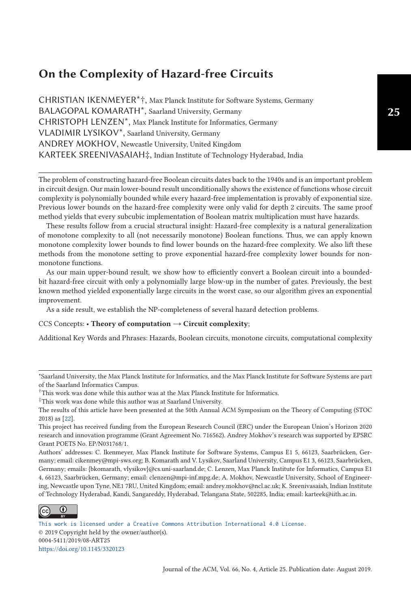CHRISTIAN IKENMEYER\*†, Max Planck Institute for Software Systems, Germany BALAGOPAL KOMARATH\*, Saarland University, Germany CHRISTOPH LENZEN\*, Max Planck Institute for Informatics, Germany VLADIMIR LYSIKOV\*, Saarland University, Germany ANDREY MOKHOV, Newcastle University, United Kingdom KARTEEK SREENIVASAIAH‡, Indian Institute of Technology Hyderabad, India

The problem of constructing hazard-free Boolean circuits dates back to the 1940s and is an important problem in circuit design. Our main lower-bound result unconditionally shows the existence of functions whose circuit complexity is polynomially bounded while every hazard-free implementation is provably of exponential size. Previous lower bounds on the hazard-free complexity were only valid for depth 2 circuits. The same proof method yields that every subcubic implementation of Boolean matrix multiplication must have hazards.

These results follow from a crucial structural insight: Hazard-free complexity is a natural generalization of monotone complexity to all (not necessarily monotone) Boolean functions. Thus, we can apply known monotone complexity lower bounds to find lower bounds on the hazard-free complexity. We also lift these methods from the monotone setting to prove exponential hazard-free complexity lower bounds for nonmonotone functions.

As our main upper-bound result, we show how to efficiently convert a Boolean circuit into a boundedbit hazard-free circuit with only a polynomially large blow-up in the number of gates. Previously, the best known method yielded exponentially large circuits in the worst case, so our algorithm gives an exponential improvement.

As a side result, we establish the NP-completeness of several hazard detection problems.

#### CCS Concepts: • **Theory of computation** → **Circuit complexity**;

Additional Key Words and Phrases: Hazards, Boolean circuits, monotone circuits, computational complexity

Authors' addresses: C. Ikenmeyer, Max Planck Institute for Software Systems, Campus E1 5, 66123, Saarbrücken, Germany; email: cikenmey@mpi-sws.org; B. Komarath and V. Lysikov, Saarland University, Campus E1 3, 66123, Saarbrücken, Germany; emails: {bkomarath, vlysikov}@cs.uni-saarland.de; C. Lenzen, Max Planck Institute for Informatics, Campus E1 4, 66123, Saarbrücken, Germany; email: clenzen@mpi-inf.mpg.de; A. Mokhov, Newcastle University, School of Engineering, Newcastle upon Tyne, NE1 7RU, United Kingdom; email: andrey.mokhov@ncl.ac.uk; K. Sreenivasaiah, Indian Institute of Technology Hyderabad, Kandi, Sangareddy, Hyderabad, Telangana State, 502285, India; email: karteek@iith.ac.in.



[This work is licensed under a Creative Commons Attribution International 4.0 License.](https://creativecommons.org/licenses/by/4.0/) © 2019 Copyright held by the owner/author(s). 0004-5411/2019/08-ART25 <https://doi.org/10.1145/3320123>

<sup>\*</sup>Saarland University, the Max Planck Institute for Informatics, and the Max Planck Institute for Software Systems are part of the Saarland Informatics Campus.

<sup>†</sup>This work was done while this author was at the Max Planck Institute for Informatics.

<sup>‡</sup>This work was done while this author was at Saarland University.

The results of this article have been presented at the 50th Annual ACM Symposium on the Theory of Computing (STOC 2018) as [\[22\]](#page-18-0).

This project has received funding from the European Research Council (ERC) under the European Union's Horizon 2020 research and innovation programme (Grant Agreement No. 716562). Andrey Mokhov's research was supported by EPSRC Grant POETS No. EP/N031768/1.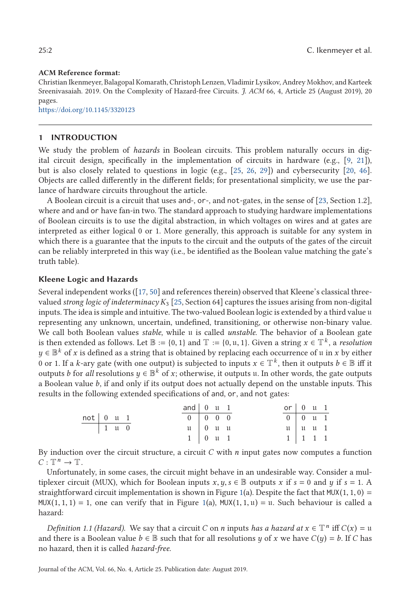#### **ACM Reference format:**

Christian Ikenmeyer, Balagopal Komarath, Christoph Lenzen, Vladimir Lysikov, Andrey Mokhov, and Karteek Sreenivasaiah. 2019. On the Complexity of Hazard-free Circuits. *J. ACM* 66, 4, Article 25 (August 2019), 20 pages.

<https://doi.org/10.1145/3320123>

## **1 INTRODUCTION**

We study the problem of *hazards* in Boolean circuits. This problem naturally occurs in digital circuit design, specifically in the implementation of circuits in hardware (e.g., [\[9,](#page-18-0) [21\]](#page-18-0)), but is also closely related to questions in logic (e.g., [\[25,](#page-18-0) [26,](#page-18-0) [29\]](#page-18-0)) and cybersecurity [\[20,](#page-18-0) [46\]](#page-19-0). Objects are called differently in the different fields; for presentational simplicity, we use the parlance of hardware circuits throughout the article.

A Boolean circuit is a circuit that uses and-, or-, and not-gates, in the sense of [\[23,](#page-18-0) Section 1.2], where and and or have fan-in two. The standard approach to studying hardware implementations of Boolean circuits is to use the digital abstraction, in which voltages on wires and at gates are interpreted as either logical 0 or 1. More generally, this approach is suitable for any system in which there is a guarantee that the inputs to the circuit and the outputs of the gates of the circuit can be reliably interpreted in this way (i.e., be identified as the Boolean value matching the gate's truth table).

#### **Kleene Logic and Hazards**

Several independent works ([\[17,](#page-18-0) [50\]](#page-19-0) and references therein) observed that Kleene's classical threevalued *strong logic of indeterminacy*  $K_3$  [\[25,](#page-18-0) Section 64] captures the issues arising from non-digital inputs. The idea is simple and intuitive. The two-valued Boolean logic is extended by a third value u representing any unknown, uncertain, undefined, transitioning, or otherwise non-binary value. We call both Boolean values *stable*, while u is called *unstable*. The behavior of a Boolean gate is then extended as follows. Let  $\mathbb{B} := \{0, 1\}$  and  $\mathbb{T} := \{0, u, 1\}$ . Given a string  $x \in \mathbb{T}^k$ , a *resolution*  $y \in \mathbb{B}^k$  of *x* is defined as a string that is obtained by replacing each occurrence of u in *x* by either 0 or 1. If a *k*-ary gate (with one output) is subjected to inputs  $x \in \mathbb{T}^k$ , then it outputs  $b \in \mathbb{B}$  iff it outputs *b* for *all* resolutions  $y \in \mathbb{B}^k$  of *x*; otherwise, it outputs u. In other words, the gate outputs a Boolean value *b*, if and only if its output does not actually depend on the unstable inputs. This results in the following extended specifications of and, or, and not gates:

|                                                                                       |  | and $\begin{vmatrix} 0 & u & 1 \end{vmatrix}$  |  |  | or $\begin{vmatrix} 0 & u & 1 \end{vmatrix}$                                                 |  |
|---------------------------------------------------------------------------------------|--|------------------------------------------------|--|--|----------------------------------------------------------------------------------------------|--|
| $not \mid 0 \quad u \quad 1$                                                          |  |                                                |  |  | $\boxed{0}$ $\boxed{0}$ $\boxed{1}$                                                          |  |
| $\begin{array}{ c c c c c }\n\hline\n1 & \text{1} & \text{1} & \text{0}\n\end{array}$ |  | $\mathfrak{u}$ 0 $\mathfrak{u}$ $\mathfrak{u}$ |  |  | $\begin{array}{ c c c c c }\n\hline\n\text{u} & \text{u} & \text{u} & \text{1}\n\end{array}$ |  |
|                                                                                       |  | $1 \mid 0 \quad \text{if} \quad 1$             |  |  | $1 \ 1 \ 1 \ 1$                                                                              |  |

By induction over the circuit structure, a circuit *C* with *n* input gates now computes a function  $C: \mathbb{T}^n \to \mathbb{T}$ .

Unfortunately, in some cases, the circuit might behave in an undesirable way. Consider a multiplexer circuit (MUX), which for Boolean inputs  $x, y, s \in \mathbb{B}$  outputs  $x$  if  $s = 0$  and  $y$  if  $s = 1$ . A straightforward circuit implementation is shown in Figure [1\(](#page-2-0)a). Despite the fact that MUX(1, 1, 0) =  $MUX(1, 1, 1) = 1$ , one can verify that in Figure [1\(](#page-2-0)a),  $MUX(1, 1, u) = u$ . Such behaviour is called a hazard:

*Definition 1.1 (Hazard).* We say that a circuit *C* on *n* inputs *has a hazard at*  $x \in \mathbb{T}^n$  iff  $C(x) = u$ and there is a Boolean value  $b \in \mathbb{B}$  such that for all resolutions *y* of *x* we have  $C(y) = b$ . If *C* has no hazard, then it is called *hazard-free.*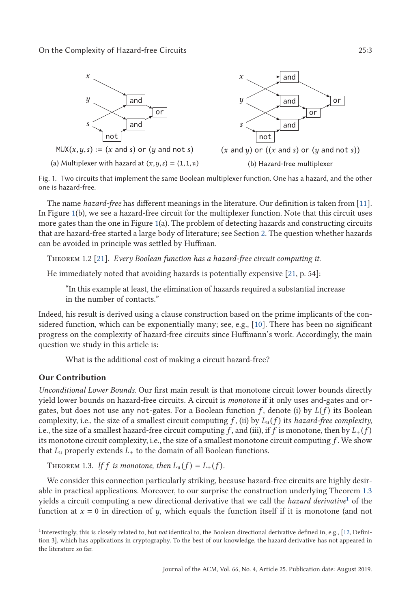<span id="page-2-0"></span>

Fig. 1. Two circuits that implement the same Boolean multiplexer function. One has a hazard, and the other one is hazard-free.

The name *hazard-free* has different meanings in the literature. Our definition is taken from [\[11\]](#page-18-0). In Figure 1(b), we see a hazard-free circuit for the multiplexer function. Note that this circuit uses more gates than the one in Figure 1(a). The problem of detecting hazards and constructing circuits that are hazard-free started a large body of literature; see Section [2.](#page-4-0) The question whether hazards can be avoided in principle was settled by Huffman.

Theorem 1.2 [\[21\]](#page-18-0). *Every Boolean function has a hazard-free circuit computing it.*

He immediately noted that avoiding hazards is potentially expensive [\[21,](#page-18-0) p. 54]:

"In this example at least, the elimination of hazards required a substantial increase in the number of contacts."

Indeed, his result is derived using a clause construction based on the prime implicants of the considered function, which can be exponentially many; see, e.g., [\[10\]](#page-18-0). There has been no significant progress on the complexity of hazard-free circuits since Huffmann's work. Accordingly, the main question we study in this article is:

What is the additional cost of making a circuit hazard-free?

# **Our Contribution**

*Unconditional Lower Bounds*. Our first main result is that monotone circuit lower bounds directly yield lower bounds on hazard-free circuits. A circuit is *monotone* if it only uses and-gates and orgates, but does not use any not-gates. For a Boolean function  $f$ , denote (i) by  $L(f)$  its Boolean complexity, i.e., the size of a smallest circuit computing  $f$ , (ii) by  $L_u(f)$  its *hazard-free complexity*, i.e., the size of a smallest hazard-free circuit computing  $f$ , and (iii), if  $f$  is monotone, then by  $L_{+}(f)$ its monotone circuit complexity, i.e., the size of a smallest monotone circuit computing *f* . We show that  $L_{\rm u}$  properly extends  $L_{+}$  to the domain of all Boolean functions.

THEOREM 1.3. *If*  $f$  *is monotone, then*  $L<sub>u</sub>(f) = L<sub>+</sub>(f)$ *.* 

We consider this connection particularly striking, because hazard-free circuits are highly desirable in practical applications. Moreover, to our surprise the construction underlying Theorem 1.3 yields a circuit computing a new directional derivative that we call the *hazard derivative*<sup>1</sup> of the function at  $x = 0$  in direction of  $y$ , which equals the function itself if it is monotone (and not

<sup>1</sup>Interestingly, this is closely related to, but *not* identical to, the Boolean directional derivative defined in, e.g., [\[12,](#page-18-0) Definition 3], which has applications in cryptography. To the best of our knowledge, the hazard derivative has not appeared in the literature so far.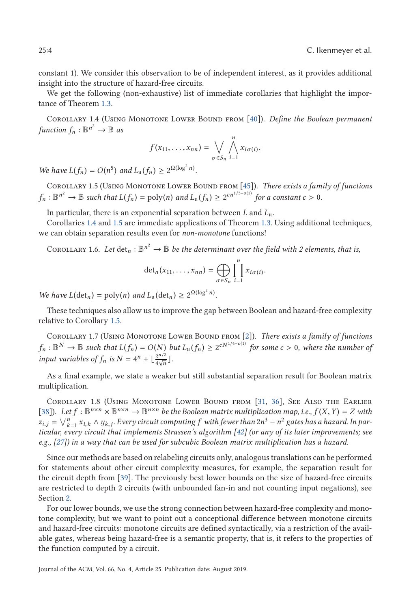<span id="page-3-0"></span>constant 1). We consider this observation to be of independent interest, as it provides additional insight into the structure of hazard-free circuits.

We get the following (non-exhaustive) list of immediate corollaries that highlight the importance of Theorem [1.3.](#page-2-0)

Corollary 1.4 (Using Monotone Lower Bound from [\[40\]](#page-19-0)). *Define the Boolean permanent function*  $f_n : \mathbb{B}^{n^2} \to \mathbb{B}$  *as* 

$$
f(x_{11},\ldots,x_{nn})=\bigvee_{\sigma\in S_n}\bigwedge_{i=1}^n x_{i\sigma(i)}.
$$

*We have*  $L(f_n) = O(n^5)$  *and*  $L_u(f_n) \geq 2^{\Omega(\log^2 n)}$ .

Corollary 1.5 (Using Monotone Lower Bound from [\[45\]](#page-19-0)). *There exists a family of functions*  $f_n: \mathbb{B}^{n^2} \to \mathbb{B}$  *such that*  $L(f_n) = \text{poly}(n)$  *and*  $L_\text{u}(f_n) \geq 2^{cn^{1/3-o(1)}}$  *for a constant*  $c > 0$ *.* 

In particular, there is an exponential separation between *L* and *L*u.

Corollaries 1.4 and 1.5 are immediate applications of Theorem [1.3.](#page-2-0) Using additional techniques, we can obtain separation results even for *non-monotone* functions!

COROLLARY 1.6. Let  $\det_n : \mathbb{B}^{n^2} \to \mathbb{B}$  be the determinant over the field with 2 elements, that is,

$$
\det_n(x_{11},\ldots,x_{nn})=\bigoplus_{\sigma\in S_n}\prod_{i=1}^n x_{i\sigma(i)}.
$$

*We have*  $L(\det_n) = \text{poly}(n)$  *and*  $L_\text{u}(\det_n) \geq 2^{\Omega(\log^2 n)}$ *.* 

These techniques also allow us to improve the gap between Boolean and hazard-free complexity relative to Corollary 1.5.

Corollary 1.7 (Using Monotone Lower Bound from [\[2\]](#page-17-0)). *There exists a family of functions*  $f_n : \mathbb{B}^N \to \mathbb{B}$  such that  $L(f_n) = O(N)$  but  $L_\mathfrak{u}(f_n) \geq 2^{cN^{1/4-o(1)}}$  for some  $c > 0$ , where the number of *input variables of*  $f_n$  *is*  $N = 4^n + \lfloor \frac{2^{n/2}}{4\sqrt{n}} \rfloor$ .

As a final example, we state a weaker but still substantial separation result for Boolean matrix multiplication.

Corollary 1.8 (Using Monotone Lower Bound from [\[31,](#page-18-0) [36\]](#page-19-0), See Also the Earlier [\[38\]](#page-19-0)). Let  $f : \mathbb{B}^{n \times n} \times \mathbb{B}^{n \times n} \to \mathbb{B}^{n \times n}$  be the Boolean matrix multiplication map, i.e.,  $f(X, Y) = Z$  with  $z_{i,j} = \bigvee_{k=1}^{n} x_{i,k} \wedge y_{k,j}$ . Every circuit computing *f* with fewer than  $2n^3 - n^2$  gates has a hazard. In particular, every circuit that implements Stresson's elsewithm [42] (or any of its later improvements; see *ticular, every circuit that implements Strassen's algorithm [\[42\]](#page-19-0) (or any of its later improvements; see e.g., [\[27\]](#page-18-0)) in a way that can be used for subcubic Boolean matrix multiplication has a hazard.*

Since our methods are based on relabeling circuits only, analogous translations can be performed for statements about other circuit complexity measures, for example, the separation result for the circuit depth from [\[39\]](#page-19-0). The previously best lower bounds on the size of hazard-free circuits are restricted to depth 2 circuits (with unbounded fan-in and not counting input negations), see Section [2.](#page-4-0)

For our lower bounds, we use the strong connection between hazard-free complexity and monotone complexity, but we want to point out a conceptional difference between monotone circuits and hazard-free circuits: monotone circuits are defined syntactically, via a restriction of the available gates, whereas being hazard-free is a semantic property, that is, it refers to the properties of the function computed by a circuit.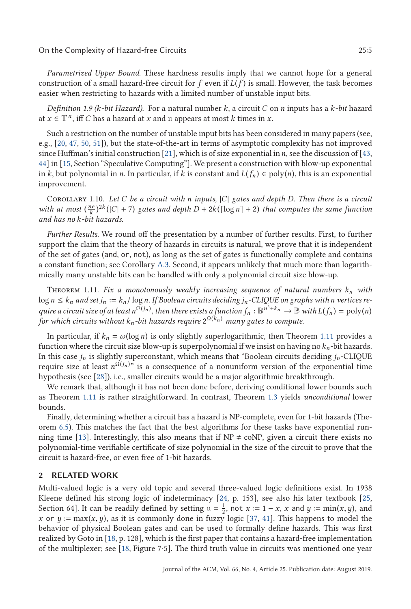<span id="page-4-0"></span>*Parametrized Upper Bound*. These hardness results imply that we cannot hope for a general construction of a small hazard-free circuit for  $f$  even if  $L(f)$  is small. However, the task becomes easier when restricting to hazards with a limited number of unstable input bits.

*Definition 1.9 (k-bit Hazard).* For a natural number *k*, a circuit *C* on *n* inputs has a *k-bit* hazard at  $x \in \mathbb{T}^n$ , iff *C* has a hazard at *x* and *u* appears at most *k* times in *x*.

Such a restriction on the number of unstable input bits has been considered in many papers (see, e.g., [\[20,](#page-18-0) [47,](#page-19-0) [50,](#page-19-0) [51\]](#page-19-0)), but the state-of-the-art in terms of asymptotic complexity has not improved since Huffman's initial construction [\[21\]](#page-18-0), which is of size exponential in *n*, see the discussion of [\[43,](#page-19-0) [44\]](#page-19-0) in [\[15,](#page-18-0) Section "Speculative Computing"]. We present a construction with blow-up exponential in *k*, but polynomial in *n*. In particular, if *k* is constant and *L*( $f_n$ ) ∈ poly $(n)$ , this is an exponential improvement.

Corollary 1.10. *Let C be a circuit with n inputs,* |*C*| *gates and depth D. Then there is a circuit with at most*  $(\frac{ne}{k})^{2k}(|C| + 7)$  *gates and depth*  $D + 2k(\lceil \log n \rceil + 2)$  *that computes the same function and has no k-bit hazards.*

*Further Results*. We round off the presentation by a number of further results. First, to further support the claim that the theory of hazards in circuits is natural, we prove that it is independent of the set of gates (and, or, not), as long as the set of gates is functionally complete and contains a constant function; see Corollary [A.3.](#page-17-0) Second, it appears unlikely that much more than logarithmically many unstable bits can be handled with only a polynomial circuit size blow-up.

THEOREM 1.11. Fix a monotonously weakly increasing sequence of natural numbers  $k_n$  with  $\log n \leq k_n$  and set  $j_n := k_n / \log n$ . If Boolean circuits deciding  $j_n$ -CLIQUE on graphs with *n* vertices re*quire a circuit size of at least*  $n^{\Omega(j_n)}$ , *then there exists a function*  $f_n : \mathbb{B}^{n^2 + k_n} \to \mathbb{B}$  with  $L(f_n) = \text{poly}(n)$ *for which circuits without*  $k_n$ -bit hazards require  $2^{\Omega(k_n)}$  many gates to compute.

In particular, if  $k_n = \omega(\log n)$  is only slightly superlogarithmic, then Theorem 1.11 provides a function where the circuit size blow-up is superpolynomial if we insist on having no *kn*-bit hazards. In this case  $j_n$  is slightly superconstant, which means that "Boolean circuits deciding  $j_n$ -CLIQUE require size at least  $n^{\Omega(j_n)}$ " is a consequence of a nonuniform version of the exponential time hypothesis (see [\[28\]](#page-18-0)), i.e., smaller circuits would be a major algorithmic breakthrough.

We remark that, although it has not been done before, deriving conditional lower bounds such as Theorem 1.11 is rather straightforward. In contrast, Theorem [1.3](#page-2-0) yields *unconditional* lower bounds.

Finally, determining whether a circuit has a hazard is NP-complete, even for 1-bit hazards (Theorem [6.5\)](#page-15-0). This matches the fact that the best algorithms for these tasks have exponential run-ning time [\[13\]](#page-18-0). Interestingly, this also means that if  $NP \neq coNP$ , given a circuit there exists no polynomial-time verifiable certificate of size polynomial in the size of the circuit to prove that the circuit is hazard-free, or even free of 1-bit hazards.

#### **2 RELATED WORK**

Multi-valued logic is a very old topic and several three-valued logic definitions exist. In 1938 Kleene defined his strong logic of indeterminacy [\[24,](#page-18-0) p. 153], see also his later textbook [\[25,](#page-18-0) Section 64]. It can be readily defined by setting  $u = \frac{1}{2}$ , not  $x := 1 - x$ , *x* and  $y := min(x, y)$ , and  $x \in X$ ,  $y := max(x, y)$  as it is commonly done in fuzzy logic [37, 41]. This happens to model the *x* or  $y := max(x, y)$ , as it is commonly done in fuzzy logic [\[37,](#page-19-0) [41\]](#page-19-0). This happens to model the behavior of physical Boolean gates and can be used to formally define hazards. This was first realized by Goto in [\[18,](#page-18-0) p. 128], which is the first paper that contains a hazard-free implementation of the multiplexer; see [\[18,](#page-18-0) Figure 7·5]. The third truth value in circuits was mentioned one year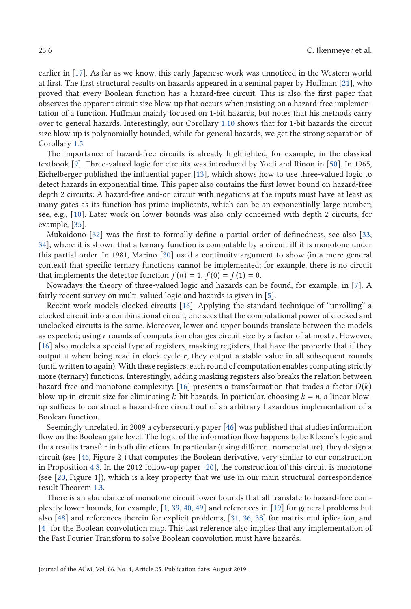earlier in [\[17\]](#page-18-0). As far as we know, this early Japanese work was unnoticed in the Western world at first. The first structural results on hazards appeared in a seminal paper by Huffman [\[21\]](#page-18-0), who proved that every Boolean function has a hazard-free circuit. This is also the first paper that observes the apparent circuit size blow-up that occurs when insisting on a hazard-free implementation of a function. Huffman mainly focused on 1-bit hazards, but notes that his methods carry over to general hazards. Interestingly, our Corollary [1.10](#page-4-0) shows that for 1-bit hazards the circuit size blow-up is polynomially bounded, while for general hazards, we get the strong separation of Corollary [1.5.](#page-3-0)

The importance of hazard-free circuits is already highlighted, for example, in the classical textbook [\[9\]](#page-18-0). Three-valued logic for circuits was introduced by Yoeli and Rinon in [\[50\]](#page-19-0). In 1965, Eichelberger published the influential paper [\[13\]](#page-18-0), which shows how to use three-valued logic to detect hazards in exponential time. This paper also contains the first lower bound on hazard-free depth 2 circuits: A hazard-free and-or circuit with negations at the inputs must have at least as many gates as its function has prime implicants, which can be an exponentially large number; see, e.g., [\[10\]](#page-18-0). Later work on lower bounds was also only concerned with depth 2 circuits, for example, [\[35\]](#page-18-0).

Mukaidono [\[32\]](#page-18-0) was the first to formally define a partial order of definedness, see also [\[33,](#page-18-0) [34\]](#page-18-0), where it is shown that a ternary function is computable by a circuit iff it is monotone under this partial order. In 1981, Marino [\[30\]](#page-18-0) used a continuity argument to show (in a more general context) that specific ternary functions cannot be implemented; for example, there is no circuit that implements the detector function  $f(u) = 1$ ,  $f(0) = f(1) = 0$ .

Nowadays the theory of three-valued logic and hazards can be found, for example, in [\[7\]](#page-18-0). A fairly recent survey on multi-valued logic and hazards is given in [\[5\]](#page-17-0).

Recent work models clocked circuits [\[16\]](#page-18-0). Applying the standard technique of "unrolling" a clocked circuit into a combinational circuit, one sees that the computational power of clocked and unclocked circuits is the same. Moreover, lower and upper bounds translate between the models as expected; using *r* rounds of computation changes circuit size by a factor of at most *r*. However, [\[16\]](#page-18-0) also models a special type of registers, masking registers, that have the property that if they output u when being read in clock cycle *r*, they output a stable value in all subsequent rounds (until written to again). With these registers, each round of computation enables computing strictly more (ternary) functions. Interestingly, adding masking registers also breaks the relation between hazard-free and monotone complexity: [\[16\]](#page-18-0) presents a transformation that trades a factor *O*(*k*) blow-up in circuit size for eliminating *k*-bit hazards. In particular, choosing  $k = n$ , a linear blowup suffices to construct a hazard-free circuit out of an arbitrary hazardous implementation of a Boolean function.

Seemingly unrelated, in 2009 a cybersecurity paper [\[46\]](#page-19-0) was published that studies information flow on the Boolean gate level. The logic of the information flow happens to be Kleene's logic and thus results transfer in both directions. In particular (using different nomenclature), they design a circuit (see [\[46,](#page-19-0) Figure 2]) that computes the Boolean derivative, very similar to our construction in Proposition [4.8.](#page-10-0) In the 2012 follow-up paper [\[20\]](#page-18-0), the construction of this circuit is monotone (see [\[20,](#page-18-0) Figure 1]), which is a key property that we use in our main structural correspondence result Theorem [1.3.](#page-2-0)

There is an abundance of monotone circuit lower bounds that all translate to hazard-free complexity lower bounds, for example, [\[1,](#page-17-0) [39,](#page-19-0) [40,](#page-19-0) [49\]](#page-19-0) and references in [\[19\]](#page-18-0) for general problems but also [\[48\]](#page-19-0) and references therein for explicit problems, [\[31,](#page-18-0) [36,](#page-19-0) [38\]](#page-19-0) for matrix multiplication, and [\[4\]](#page-17-0) for the Boolean convolution map. This last reference also implies that any implementation of the Fast Fourier Transform to solve Boolean convolution must have hazards.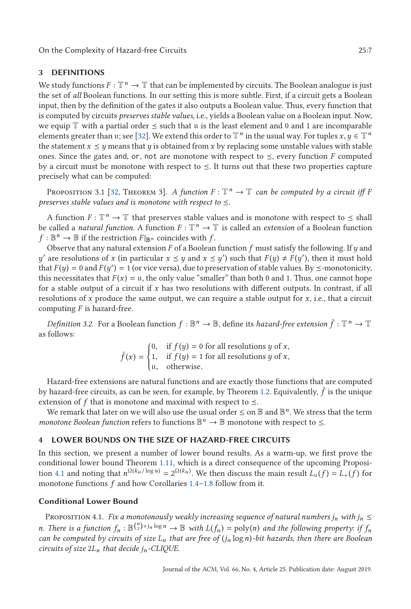## <span id="page-6-0"></span>**3 DEFINITIONS**

We study functions  $F: \mathbb{T}^n \to \mathbb{T}$  that can be implemented by circuits. The Boolean analogue is just the set of *all* Boolean functions. In our setting this is more subtle. First, if a circuit gets a Boolean input, then by the definition of the gates it also outputs a Boolean value. Thus, every function that is computed by circuits *preserves stable values*, i.e., yields a Boolean value on a Boolean input. Now, we equip  $\mathbb T$  with a partial order  $\leq$  such that u is the least element and 0 and 1 are incomparable elements greater than u; see [\[32\]](#page-18-0). We extend this order to  $\mathbb{T}^n$  in the usual way. For tuples *x*,  $y \in \mathbb{T}^n$ the statement  $x \leq y$  means that *y* is obtained from *x* by replacing some unstable values with stable ones. Since the gates and, or, not are monotone with respect to  $\leq$ , every function *F* computed by a circuit must be monotone with respect to  $\leq$ . It turns out that these two properties capture precisely what can be computed:

PROPOSITION 3.1 [\[32,](#page-18-0) THEOREM 3]. A function  $F : \mathbb{T}^n \to \mathbb{T}$  can be computed by a circuit iff F *preserves stable values and is monotone with respect to*  $\leq$ .

A function  $F: \mathbb{T}^n \to \mathbb{T}$  that preserves stable values and is monotone with respect to  $\leq$  shall be called a *natural function*. A function  $F: \mathbb{T}^n \to \mathbb{T}$  is called an *extension* of a Boolean function  $f: \mathbb{B}^n \to \mathbb{B}$  if the restriction  $F|_{\mathbb{B}^n}$  coincides with f.

Observe that any natural extension *F* of a Boolean function *f* must satisfy the following. If *y* and y' are resolutions of x (in particular  $x \leq y$  and  $x \leq y'$ ) such that  $F(y) \neq F(y')$ , then it must hold that  $F(y) = 0$  and  $F(y') = 1$  (or vice versa), due to preservation of stable values. By  $\leq$ -monotonicity, this necessitates that  $F(x) = u$ , the only value "smaller" than both 0 and 1. Thus, one cannot hope for a stable output of a circuit if *x* has two resolutions with different outputs. In contrast, if all resolutions of *x* produce the same output, we can require a stable output for *x*, i.e., that a circuit computing *F* is hazard-free.

*Definition 3.2.* For a Boolean function  $f : \mathbb{B}^n \to \mathbb{B}$ , define its *hazard-free extension*  $\bar{f} : \mathbb{T}^n \to \mathbb{T}$ as follows:

$$
\bar{f}(x) = \begin{cases} 0, & \text{if } f(y) = 0 \text{ for all resolutions } y \text{ of } x, \\ 1, & \text{if } f(y) = 1 \text{ for all resolutions } y \text{ of } x, \\ u, & \text{otherwise.} \end{cases}
$$

Hazard-free extensions are natural functions and are exactly those functions that are computed by hazard-free circuits, as can be seen, for example, by Theorem [1.2.](#page-2-0) Equivalently,  $\bar{f}$  is the unique extension of  $f$  that is monotone and maximal with respect to  $\leq$ .

We remark that later on we will also use the usual order  $\leq$  on  $\mathbb B$  and  $\mathbb B^n$ . We stress that the term *monotone Boolean function* refers to functions  $\mathbb{B}^n \to \mathbb{B}$  monotone with respect to  $\leq$ .

# **4 LOWER BOUNDS ON THE SIZE OF HAZARD-FREE CIRCUITS**

In this section, we present a number of lower bound results. As a warm-up, we first prove the conditional lower bound Theorem [1.11,](#page-4-0) which is a direct consequence of the upcoming Proposition 4.1 and noting that  $n^{\Omega(k_n/\log n)} = 2^{\Omega(k_n)}$ . We then discuss the main result  $L_\mathfrak{u}(f) = L_+(f)$  for monotone functions *f* and how Corollaries [1.4–1.8](#page-3-0) follow from it.

### **Conditional Lower Bound**

PROPOSITION 4.1. *Fix a monotonously weakly increasing sequence of natural numbers*  $j_n$  with  $j_n \leq$ *n*. There is a function  $f_n : \mathbb{B}^{\binom{n}{2} + j_n \log n} \to \mathbb{B}$  with  $L(f_n) = \text{poly}(n)$  and the following property: if  $f_n$ *can be computed by circuits of size L<sup>n</sup> that are free of* (*j<sup>n</sup>* log*n*)*-bit hazards, then there are Boolean circuits of size* 2*L<sup>n</sup> that decide jn-CLIQUE.*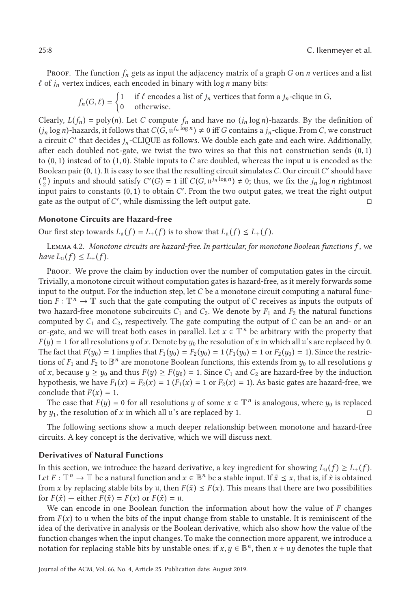<span id="page-7-0"></span>Proof. The function *f<sup>n</sup>* gets as input the adjacency matrix of a graph *G* on *n* vertices and a list  $\ell$  of  $j_n$  vertex indices, each encoded in binary with log *n* many bits:

$$
f_n(G, \ell) = \begin{cases} 1 & \text{if } \ell \text{ encodes a list of } j_n \text{ vertices that form a } j_n\text{-clique in } G, \\ 0 & \text{otherwise.} \end{cases}
$$

Clearly,  $L(f_n) = \text{poly}(n)$ . Let *C* compute  $f_n$  and have no  $(j_n \log n)$ -hazards. By the definition of  $(j_n \log n)$ -hazards, it follows that  $C(G, u^{j_n \log n}) \neq 0$  iff *G* contains a  $j_n$ -clique. From *C*, we construct  $C'$  that decides *i*. CLIOUE as follows. We double each gate and each wire. Additionally a circuit *C* that decides *jn*-CLIQUE as follows. We double each gate and each wire. Additionally, after each doubled not-gate, we twist the two wires so that this not construction sends  $(0, 1)$ to (0, <sup>1</sup>) instead of to (1, <sup>0</sup>). Stable inputs to *<sup>C</sup>* are doubled, whereas the input <sup>u</sup> is encoded as the Boolean pair (0, 1). It is easy to see that the resulting circuit simulates *C*. Our circuit *C'* should have  $\binom{n}{2}$  inputs and should satisfy  $C'(G) = 1$  iff  $C(G, \mathfrak{u}^{j_n \log n}) \neq 0$ ; thus, we fix the *j<sub>n</sub>* log *n* rightmost input pairs to constants (0, 1) to obtain  $C'$  from the two output gates, we treat the right output input pairs to constants  $(0, 1)$  to obtain *C'*. From the two output gates, we treat the right output gate as the output of *C'* while dismissing the left output gate gate as the output of  $C'$ , while dismissing the left output gate.  $\Box$ 

## **Monotone Circuits are Hazard-free**

Our first step towards  $L_u(f) = L_+(f)$  is to show that  $L_u(f) \leq L_+(f)$ .

Lemma 4.2. *Monotone circuits are hazard-free. In particular, for monotone Boolean functions f , we have*  $L_{\text{u}}(f) \leq L_{+}(f)$ *.* 

PROOF. We prove the claim by induction over the number of computation gates in the circuit. Trivially, a monotone circuit without computation gates is hazard-free, as it merely forwards some input to the output. For the induction step, let *C* be a monotone circuit computing a natural function  $F: \mathbb{T}^n \to \mathbb{T}$  such that the gate computing the output of *C* receives as inputs the outputs of two hazard-free monotone subcircuits  $C_1$  and  $C_2$ . We denote by  $F_1$  and  $F_2$  the natural functions computed by  $C_1$  and  $C_2$ , respectively. The gate computing the output of  $C$  can be an and- or an or-gate, and we will treat both cases in parallel. Let  $x \in \mathbb{T}^n$  be arbitrary with the property that  $F(y) = 1$  for all resolutions *y* of *x*. Denote by  $y_0$  the resolution of *x* in which all u's are replaced by 0. The fact that  $F(y_0) = 1$  implies that  $F_1(y_0) = F_2(y_0) = 1$  ( $F_1(y_0) = 1$  or  $F_2(y_0) = 1$ ). Since the restrictions of  $F_1$  and  $F_2$  to  $\mathbb{B}^n$  are monotone Boolean functions, this extends from  $y_0$  to all resolutions *y* of *x*, because  $y \ge y_0$  and thus  $F(y) \ge F(y_0) = 1$ . Since  $C_1$  and  $C_2$  are hazard-free by the induction hypothesis, we have  $F_1(x) = F_2(x) = 1$  ( $F_1(x) = 1$  or  $F_2(x) = 1$ ). As basic gates are hazard-free, we conclude that  $F(x) = 1$ .

The case that  $F(y) = 0$  for all resolutions *y* of some  $x \in \mathbb{T}^n$  is analogous, where *y*<sub>0</sub> is replaced by  $y_1$ , the resolution of x in which all u's are replaced by 1.  $\Box$ 

The following sections show a much deeper relationship between monotone and hazard-free circuits. A key concept is the derivative, which we will discuss next.

#### **Derivatives of Natural Functions**

In this section, we introduce the hazard derivative, a key ingredient for showing  $L_u(f) \geq L_+(f)$ . Let  $F: \mathbb{T}^n \to \mathbb{T}$  be a natural function and  $x \in \mathbb{B}^n$  be a stable input. If  $\tilde{x} \leq x$ , that is, if  $\tilde{x}$  is obtained from *x* by replacing stable bits by u, then  $F(\tilde{x}) \leq F(x)$ . This means that there are two possibilities for  $F(\tilde{x})$  – either  $F(\tilde{x}) = F(x)$  or  $F(\tilde{x}) = u$ .

We can encode in one Boolean function the information about how the value of *F* changes from  $F(x)$  to u when the bits of the input change from stable to unstable. It is reminiscent of the idea of the derivative in analysis or the Boolean derivative, which also show how the value of the function changes when the input changes. To make the connection more apparent, we introduce a notation for replacing stable bits by unstable ones: if  $x, y \in \mathbb{B}^n$ , then  $x + \mu y$  denotes the tuple that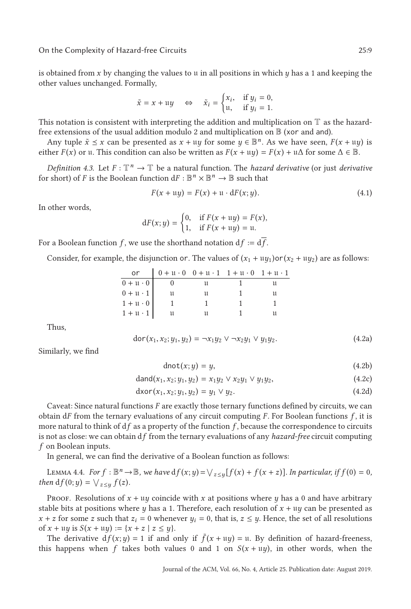<span id="page-8-0"></span>is obtained from *x* by changing the values to u in all positions in which *y* has a 1 and keeping the other values unchanged. Formally,

$$
\tilde{x} = x + uy \Leftrightarrow \tilde{x}_i = \begin{cases} x_i, & \text{if } y_i = 0, \\ u, & \text{if } y_i = 1. \end{cases}
$$

This notation is consistent with interpreting the addition and multiplication on  $\mathbb T$  as the hazardfree extensions of the usual addition modulo 2 and multiplication on  $\mathbb B$  (xor and and).

Any tuple  $\tilde{x} \leq x$  can be presented as  $x + u y$  for some  $y \in \mathbb{B}^n$ . As we have seen,  $F(x + u y)$  is either  $F(x)$  or u. This condition can also be written as  $F(x + u y) = F(x) + u\Delta$  for some  $\Delta \in \mathbb{B}$ .

*Definition 4.3.* Let  $F: \mathbb{T}^n \to \mathbb{T}$  be a natural function. The *hazard derivative* (or just *derivative* for short) of *F* is the Boolean function  $dF : \mathbb{B}^n \times \mathbb{B}^n \to \mathbb{B}$  such that

$$
F(x + uy) = F(x) + u \cdot dF(x; y). \tag{4.1}
$$

In other words,

$$
dF(x; y) = \begin{cases} 0, & \text{if } F(x + uy) = F(x), \\ 1, & \text{if } F(x + uy) = u. \end{cases}
$$

For a Boolean function *f*, we use the shorthand notation  $df := d\overline{f}$ .

Consider, for example, the disjunction or. The values of  $(x_1 + \mu y_1)$ or $(x_2 + \mu y_2)$  are as follows:

| or                      |    |    | $0 + u \cdot 0$ $0 + u \cdot 1$ $1 + u \cdot 0$ $1 + u \cdot 1$ |  |
|-------------------------|----|----|-----------------------------------------------------------------|--|
| $0 + u \cdot 0$         |    |    |                                                                 |  |
| $0+\mathfrak{u}\cdot 1$ | 11 | 11 |                                                                 |  |
| $1 + u \cdot 0$         |    |    |                                                                 |  |
| $1 + u \cdot 1$         |    |    |                                                                 |  |

Thus,

$$
dor(x_1, x_2; y_1, y_2) = \neg x_1 y_2 \lor \neg x_2 y_1 \lor y_1 y_2. \tag{4.2a}
$$

Similarly, we find

$$
dnot(x; y) = y,\tag{4.2b}
$$

$$
d\text{and}(x_1, x_2; y_1, y_2) = x_1 y_2 \vee x_2 y_1 \vee y_1 y_2, \tag{4.2c}
$$

$$
dxor(x_1, x_2; y_1, y_2) = y_1 \vee y_2. \tag{4.2d}
$$

Caveat: Since natural functions *F* are exactly those ternary functions defined by circuits, we can obtain d*F* from the ternary evaluations of any circuit computing *F* . For Boolean functions *f* , it is more natural to think of d*f* as a property of the function *f* , because the correspondence to circuits is not as close: we can obtain d*f* from the ternary evaluations of any *hazard-free* circuit computing *f* on Boolean inputs.

In general, we can find the derivative of a Boolean function as follows:

LEMMA 4.4. For  $f : \mathbb{B}^n \to \mathbb{B}$ , we have  $df(x; y) = \sqrt{z \leq y} [f(x) + f(x + z)]$ . In particular, if  $f(0) = 0$ , *then*  $df(0; y) = \sqrt{z \leq y} f(z)$ *.* 

Proof. Resolutions of  $x + u y$  coincide with x at positions where y has a 0 and have arbitrary stable bits at positions where *y* has a 1. Therefore, each resolution of  $x + uy$  can be presented as *x* + *z* for some *z* such that  $z_i = 0$  whenever  $y_i = 0$ , that is,  $z \le y$ . Hence, the set of all resolutions of *x* + u*y* is *S* (*x* + u*y*) := {*x* + *z* | *z* ≤ *y*}.

The derivative  $df(x; y) = 1$  if and only if  $\bar{f}(x + uy) = u$ . By definition of hazard-freeness, this happens when *f* takes both values 0 and 1 on  $S(x + uy)$ , in other words, when the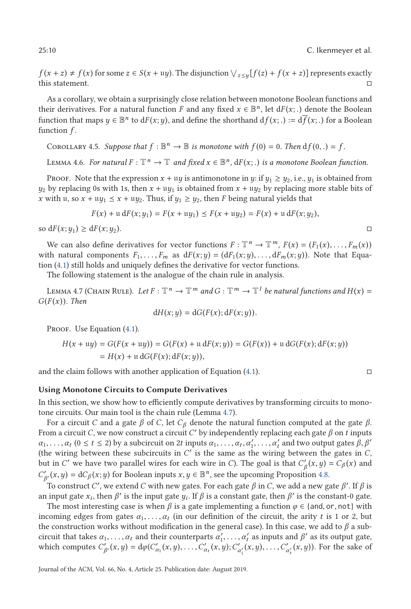<span id="page-9-0"></span> $f(x+z) \neq f(x)$  for some  $z \in S(x+uy)$ . The disjunction  $\bigvee_{z \leq y} [f(z) + f(x+z)]$  represents exactly this statement.  $\Box$ 

As a corollary, we obtain a surprisingly close relation between monotone Boolean functions and their derivatives. For a natural function *F* and any fixed  $x \in \mathbb{B}^n$ , let  $dF(x; \cdot)$  denote the Boolean function that maps  $y \in \mathbb{B}^n$  to  $dF(x; y)$ , and define the shorthand  $df(x; \cdot) := df(x; \cdot)$  for a Boolean function *f* .

COROLLARY 4.5. *Suppose that*  $f : \mathbb{B}^n \to \mathbb{B}$  *is monotone with*  $f(0) = 0$ *. Then*  $df(0, .) = f$ *.* 

LEMMA 4.6. *For natural*  $F: \mathbb{T}^n \to \mathbb{T}$  *and fixed*  $x \in \mathbb{B}^n$ ,  $dF(x; \cdot)$  *is a monotone Boolean function.* 

Proof. Note that the expression  $x + uy$  is antimonotone in *y*: if  $y_1 \ge y_2$ , i.e.,  $y_1$  is obtained from  $y_2$  by replacing 0s with 1s, then  $x + u y_1$  is obtained from  $x + u y_2$  by replacing more stable bits of *x* with u, so  $x + uy_1 \le x + uy_2$ . Thus, if  $y_1 \ge y_2$ , then *F* being natural yields that

$$
F(x) + u \, dF(x; y_1) = F(x + uy_1) \leq F(x + uy_2) = F(x) + u \, dF(x; y_2),
$$

so  $dF(x; y_1) \geq dF(x; y_2)$ .

We can also define derivatives for vector functions  $F: \mathbb{T}^n \to \mathbb{T}^m$ ,  $F(x) = (F_1(x), \ldots, F_m(x))$ with natural components  $F_1, \ldots, F_m$  as  $dF(x; y) = (dF_1(x; y), \ldots, dF_m(x; y))$ . Note that Equation [\(4.1\)](#page-8-0) still holds and uniquely defines the derivative for vector functions.

The following statement is the analogue of the chain rule in analysis.

LEMMA 4.7 (CHAIN RULE). Let  $F: \mathbb{T}^n \to \mathbb{T}^m$  and  $G: \mathbb{T}^m \to \mathbb{T}^l$  be natural functions and  $H(x) =$  $G(F(x))$ *. Then* 

$$
dH(x; y) = dG(F(x); dF(x; y)).
$$

PROOF. Use Equation [\(4.1\)](#page-8-0).

$$
H(x + uy) = G(F(x + uy)) = G(F(x) + u dF(x; y)) = G(F(x)) + u dG(F(x); dF(x; y))
$$
  
=  $H(x) + u dG(F(x); dF(x; y)),$ 

and the claim follows with another application of Equation [\(4.1\)](#page-8-0).

#### **Using Monotone Circuits to Compute Derivatives**

In this section, we show how to efficiently compute derivatives by transforming circuits to monotone circuits. Our main tool is the chain rule (Lemma 4.7).

For a circuit *C* and a gate *β* of *C*, let *C<sup>β</sup>* denote the natural function computed at the gate *β*. From a circuit *C*, we now construct a circuit *C'* by independently replacing each gate  $\beta$  on *t* inputs  $\alpha_1, \ldots, \alpha_t$  ( $0 \le t \le 2$ ) by a subcircuit on 2*t* inputs  $\alpha_1, \ldots, \alpha_t, \alpha'_1, \ldots, \alpha'_t$  and two output gates  $\beta, \beta'$  (the wiring between these subcircuits in C' is the same as the wiring between the gates in C (the wiring between these subcircuits in  $C'$  is the same as the wiring between the gates in  $C$ , but in *C'* we have two parallel wires for each wire in *C*). The goal is that  $C'_\beta(x, y) = C_\beta(x)$  and  $C'_\beta(x, y) = dC_\beta(x)$  for Basken innuts  $y, y \in \mathbb{R}^n$  as the unconsider Proposition 4.8  $C'_{\beta'}(x, y) = dC_{\beta}(x, y)$  for Boolean inputs  $x, y \in \mathbb{B}^n$ , see the upcoming Proposition [4.8.](#page-10-0)<br>To construct  $C'$  we sutured C with a survey pates. For seek rate  $\beta$  in C we add a name of

To construct *C'*, we extend *C* with new gates. For each gate  $β$  in *C*, we add a new gate  $β'$ . If  $β$  is an input gate  $x_i$ , then  $\beta'$  is the input gate  $y_i$ . If  $\beta$  is a constant gate, then  $\beta'$  is the constant-0 gate.

The most interesting case is when  $\beta$  is a gate implementing a function  $\varphi \in \{\text{and}, \text{or}, \text{not}\}$  with incoming edges from gates  $\alpha_1, \ldots, \alpha_t$  (in our definition of the circuit, the arity *t* is 1 or 2, but the construction works without modification in the general case). In this case, we add to *β* a subcircuit that takes  $\alpha_1, \ldots, \alpha_t$  and their counterparts  $\alpha'_1, \ldots, \alpha'_t$  as inputs and  $\beta'$  as its output gate, which computes  $C'$   $(x, y) = d\alpha(C'$   $(x, y) = C'$   $(x, y) = C'$   $(x, y) = C'$   $(x, y)$ . For the sake of which computes  $C'_{\beta'}(x, y) = d\varphi(C'_{\alpha_1}(x, y), \dots, C'_{\alpha_t}(x, y); C'_{\alpha'_1}(x, y), \dots, C'_{\alpha'_t}(x, y)).$  For the sake of

$$
\Box
$$

 $\Box$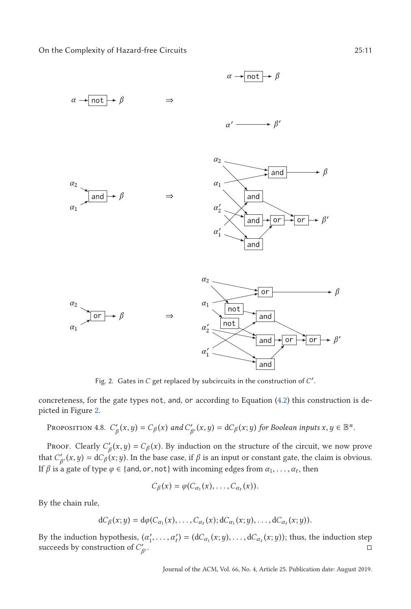<span id="page-10-0"></span>

Fig. 2. Gates in *C* get replaced by subcircuits in the construction of *C'*.

concreteness, for the gate types not, and, or according to Equation [\(4.2\)](#page-6-0) this construction is depicted in Figure 2.

PROPOSITION 4.8.  $C'_{\beta}(x, y) = C_{\beta}(x)$  and  $C'_{\beta'}(x, y) = dC_{\beta}(x, y)$  for Boolean inputs  $x, y \in \mathbb{B}^n$ .

PROOF. Clearly  $C'_\beta(x, y) = C_\beta(x)$ . By induction on the structure of the circuit, we now prove<br>  $C'_\beta(x, y) = C_\beta(x)$ . In the hase associated is an input on constant rate the alaim is abriance that  $C'_{\beta'}(x, y) = dC_{\beta}(x, y)$ . In the base case, if  $\beta$  is an input or constant gate, the claim is obvious. If  $\beta$  is a gate of type  $\varphi \in \{$  and, or, not} with incoming edges from  $\alpha_1, \ldots, \alpha_t$ , then

$$
C_{\beta}(x) = \varphi(C_{\alpha_1}(x), \ldots, C_{\alpha_t}(x)).
$$

By the chain rule,

$$
dC_{\beta}(x;y) = d\varphi(C_{\alpha_1}(x),\ldots,C_{\alpha_t}(x);dC_{\alpha_1}(x;y),\ldots,dC_{\alpha_t}(x;y)).
$$

By the induction hypothesis,  $(\alpha'_1, \ldots, \alpha'_t) = (dC_{\alpha_1}(x; y), \ldots, dC_{\alpha_t}(x; y))$ ; thus, the induction step succeeds by construction of  $C_{\beta'}'.$ *ι*<br>β<sup>*ι*</sup>  $\Box$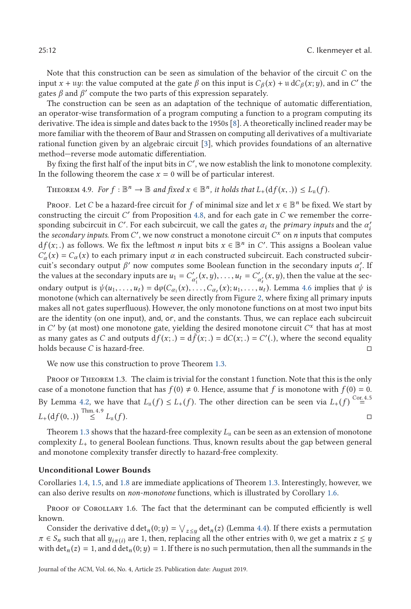<span id="page-11-0"></span>Note that this construction can be seen as simulation of the behavior of the circuit *C* on the input  $x + u y$ : the value computed at the gate  $\beta$  on this input is  $C_{\beta}(x) + u dC_{\beta}(x; y)$ , and in C' the gates  $\beta$  and  $\beta'$  compute the two parts of this expression separately.

The construction can be seen as an adaptation of the technique of automatic differentiation, an operator-wise transformation of a program computing a function to a program computing its derivative. The idea is simple and dates back to the 1950s [\[8\]](#page-18-0). A theoretically inclined reader may be more familiar with the theorem of Baur and Strassen on computing all derivatives of a multivariate rational function given by an algebraic circuit [\[3\]](#page-17-0), which provides foundations of an alternative method—reverse mode automatic differentiation.

By fixing the first half of the input bits in  $C'$ , we now establish the link to monotone complexity. In the following theorem the case  $x = 0$  will be of particular interest.

# THEOREM 4.9. *For*  $f : \mathbb{B}^n \to \mathbb{B}$  *and fixed*  $x \in \mathbb{B}^n$ , *it holds that*  $L_+(\mathrm{d} f(x, .)) \leq L_\mathrm{u}(f)$ .

Proof. Let *C* be a hazard-free circuit for *f* of minimal size and let  $x \in \mathbb{B}^n$  be fixed. We start by constructing the circuit *C'* from Proposition [4.8,](#page-10-0) and for each gate in *C* we remember the corresponding subcircuit in  $C'$ . For each subcircuit, we call the gates  $\alpha_i$  the *primary inputs* and the  $\alpha'_i$ the *secondary inputs*. From  $C'$ , we now construct a monotone circuit  $C^x$  on *n* inputs that computes  $df(x; \cdot)$  as follows. We fix the leftmost *n* input bits  $x \in \mathbb{B}^n$  in *C'*. This assigns a Boolean value  $C'(x) = C(x)$  to each primary input  $\alpha$  in each constructed subcircuit. Each constructed subcir- $C'_\alpha(x) = C_\alpha(x)$  to each primary input  $\alpha$  in each constructed subcircuit. Each constructed subcircuit's secondary output  $\beta'$  now computes some Boolean function in the secondary inputs  $\alpha'_i$ . If the values at the secondary inputs are  $u_1 = C'_{\alpha_1'}(x, y), \ldots, u_t = C'_{\alpha_t'}(x, y)$ , then the value at the secondary output is  $\psi(u_1,\ldots,u_t) = d\varphi(C_{\alpha_1}(x),\ldots,C_{\alpha_t}(x);u_1,\ldots,u_t)$ . Lemma [4.6](#page-9-0) implies that  $\psi$  is monotone (which can alternatively be seen directly from Figure [2,](#page-10-0) where fixing all primary inputs makes all not gates superfluous). However, the only monotone functions on at most two input bits are the identity (on one input), and, or, and the constants. Thus, we can replace each subcircuit in  $C'$  by (at most) one monotone gate, yielding the desired monotone circuit  $C^x$  that has at most as many gates as *C* and outputs  $df(x; .) = d\overline{f}(x; .) = dC(x; .) = C'(.)$ , where the second equality holds because *C* is bazard-free holds because *C* is hazard-free. -

We now use this construction to prove Theorem [1.3.](#page-2-0)

PROOF OF THEOREM 1.3. The claim is trivial for the constant 1 function. Note that this is the only case of a monotone function that has  $f(0) \neq 0$ . Hence, assume that *f* is monotone with  $f(0) = 0$ . By Lemma [4.2,](#page-7-0) we have that  $L_u(f) \leq L_+(f)$ . The other direction can be seen via  $L_+(f) \stackrel{\text{Cor. 4.5}}{=}$  $L_+(\mathrm{d} f(0,.)) \overset{\mathrm{Thm. 4.9}}{\leq} L_{\mathrm{u}}(f).$ 

Theorem [1.3](#page-2-0) shows that the hazard-free complexity *L*u can be seen as an extension of monotone complexity *L*<sup>+</sup> to general Boolean functions. Thus, known results about the gap between general and monotone complexity transfer directly to hazard-free complexity.

#### **Unconditional Lower Bounds**

Corollaries [1.4,](#page-3-0) [1.5,](#page-3-0) and [1.8](#page-3-0) are immediate applications of Theorem [1.3.](#page-2-0) Interestingly, however, we can also derive results on *non-monotone* functions, which is illustrated by Corollary [1.6.](#page-3-0)

PROOF OF COROLLARY 1.6. The fact that the determinant can be computed efficiently is well known.

Consider the derivative d det<sub>*n*</sub>(0; *y*) =  $\vee$ <sub>z ≤*y*</sub> det<sub>*n*</sub>(*z*) (Lemma [4.4\)](#page-8-0). If there exists a permutation  $\pi \in S_n$  such that all  $y_{i\pi(i)}$  are 1, then, replacing all the other entries with 0, we get a matrix  $z \leq y$ with  $\det_n(z) = 1$ , and  $\det_n(0; y) = 1$ . If there is no such permutation, then all the summands in the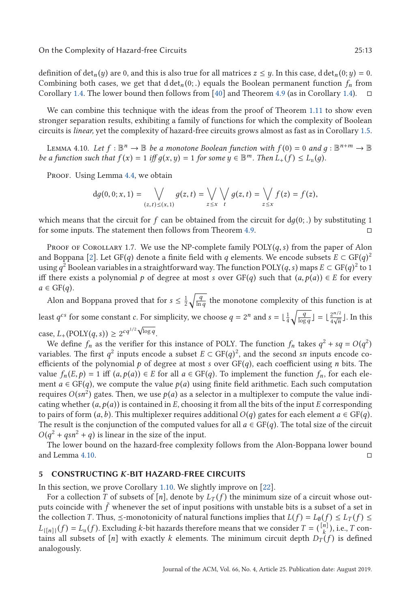<span id="page-12-0"></span>definition of  $\det_n(y)$  are 0, and this is also true for all matrices  $z \leq y$ . In this case,  $d \det_n(0; y) = 0$ . Combining both cases, we get that  $\det_n(0;.)$  equals the Boolean permanent function  $f_n$  from Corollary [1.4.](#page-3-0) The lower bound then follows from [\[40\]](#page-19-0) and Theorem [4.9](#page-11-0) (as in Corollary [1.4\)](#page-3-0).  $\Box$ 

We can combine this technique with the ideas from the proof of Theorem [1.11](#page-4-0) to show even stronger separation results, exhibiting a family of functions for which the complexity of Boolean circuits is *linear,* yet the complexity of hazard-free circuits grows almost as fast as in Corollary [1.5.](#page-3-0)

LEMMA 4.10. Let  $f : \mathbb{B}^n \to \mathbb{B}$  be a monotone Boolean function with  $f(0) = 0$  and  $g : \mathbb{B}^{n+m} \to \mathbb{B}$ *be a function such that*  $f(x) = 1$  *iff*  $g(x, y) = 1$  *for some*  $y \in \mathbb{B}^m$ *. Then*  $L_+(f) \leq L_{\mu}(q)$ *.* 

PROOF. Using Lemma [4.4,](#page-8-0) we obtain

$$
dg(0,0;x,1)=\bigvee_{(z,t)\leq(x,1)}g(z,t)=\bigvee_{z\leq x}\bigvee_{t}g(z,t)=\bigvee_{z\leq x}f(z)=f(z),
$$

which means that the circuit for *f* can be obtained from the circuit for  $dg(0;.)$  by substituting 1 for some inputs. The statement then follows from Theorem 4.9. for some inputs. The statement then follows from Theorem [4.9.](#page-11-0)

PROOF OF COROLLARY 1.7. We use the NP-complete family  $POLY(q, s)$  from the paper of Alon and Boppana [\[2\]](#page-17-0). Let GF(*q*) denote a finite field with *q* elements. We encode subsets  $E \subset GF(q)^2$ using  $q^2$  Boolean variables in a straightforward way. The function  $POLY(q, s)$  maps  $E \subset GF(q)^2$  to 1<br>iff there exists a nolynomial  $\sigma$  of degree at most s over  $GF(q)$  such that  $(q, p(q)) \in E$  for every iff there exists a polynomial *p* of degree at most *s* over GF(*q*) such that  $(a, p(a)) \in E$  for every  $a \in GF(q)$ .

Alon and Boppana proved that for  $s \leq \frac{1}{2} \sqrt{\frac{q}{\ln q}}$  the monotone complexity of this function is at least  $q^{cs}$  for some constant *c*. For simplicity, we choose  $q = 2^n$  and  $s = \lfloor \frac{1}{4} \sqrt{\frac{q}{\log q}} \rfloor = \lfloor \frac{2^{n/2}}{4\sqrt{n}} \rfloor$ . In this  $\cose, L_{+}(\text{POLY}(q, s)) \geq 2^{cq^{1/2}} \sqrt{\log q}$ .<br>We define f as the verifier for

We define  $f_n$  as the verifier for this instance of POLY. The function  $f_n$  takes  $q^2 + sq = O(q^2)$ variables. The first  $q^2$  inputs encode a subset  $E \subset GF(q)^2$ , and the second *sn* inputs encode coefficients of the polynomial *p* of degree at most *s* over GF(*q*), each coefficient using *n* bits. The value  $f_n(E, p) = 1$  iff  $(a, p(a)) \in E$  for all  $a \in GF(q)$ . To implement the function  $f_n$ , for each element  $a \in GF(q)$ , we compute the value  $p(a)$  using finite field arithmetic. Each such computation requires  $O(sn^2)$  gates. Then, we use  $p(a)$  as a selector in a multiplexer to compute the value indicating whether  $(a, p(a))$  is contained in *E*, choosing it from all the bits of the input *E* corresponding to pairs of form  $(a, b)$ . This multiplexer requires additional  $O(q)$  gates for each element  $a \in GF(q)$ . The result is the conjunction of the computed values for all  $a \in GF(q)$ . The total size of the circuit  $O(q^2 + qsn^2 + q)$  is linear in the size of the input.

The lower bound on the hazard-free complexity follows from the Alon-Boppana lower bound and Lemma 4.10.  $\Box$ 

#### **5 CONSTRUCTING** *K***-BIT HAZARD-FREE CIRCUITS**

In this section, we prove Corollary [1.10.](#page-4-0) We slightly improve on [\[22\]](#page-18-0).

For a collection *T* of subsets of [*n*], denote by  $L_T(f)$  the minimum size of a circuit whose outputs coincide with f whenever the set of input positions with unstable bits is a subset of a set in the collection *T*. Thus,  $\leq$ -monotonicity of natural functions implies that  $L(f) = L_{\emptyset}(f) \leq L_T(f) \leq$  $L_{\{[n]\}}(f) = L_{\mathfrak{u}}(f)$ . Excluding *k*-bit hazards therefore means that we consider  $T = \binom{[n]}{k}$ , i.e., *T* contains all subsets of [*n*] with exactly *k* elements. The minimum circuit depth  $D_T(f)$  is defined analogously.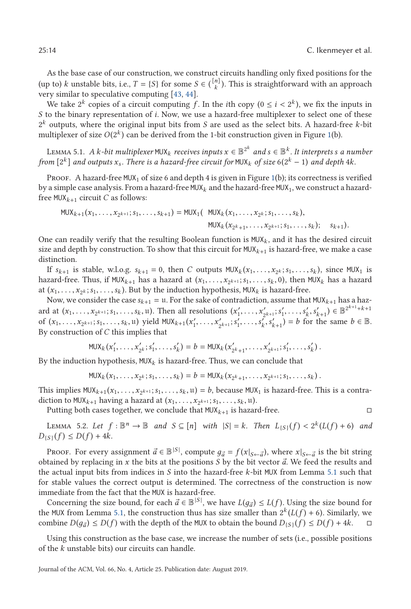<span id="page-13-0"></span>As the base case of our construction, we construct circuits handling only fixed positions for the (up to) *k* unstable bits, i.e.,  $T = \{S\}$  for some  $S \in \binom{[n]}{k}$ . This is straightforward with an approach very similar to speculative computing [\[43,](#page-19-0) [44\]](#page-19-0).

We take  $2^k$  copies of a circuit computing *f*. In the *i*th copy ( $0 \le i \le 2^k$ ), we fix the inputs in *S* to the binary representation of *i*. Now, we use a hazard-free multiplexer to select one of these 2*<sup>k</sup>* outputs, where the original input bits from *S* are used as the select bits. A hazard-free *k*-bit multiplexer of size  $O(2^k)$  can be derived from the 1-bit construction given in Figure [1\(](#page-2-0)b).

 $\Delta$ Емм $\Delta$  5.1.  $A$   $k$ -bit multiplexer <code>MUX</code> $_k$  receives inputs  $x \in \mathbb{B}^{2^k}$  and  $s \in \mathbb{B}^k$ . It interprets  $s$  a number *from*  $[2^k]$  *and outputs*  $x_s$ *. There is a hazard-free circuit for* MUX<sub>k</sub> *of size* 6( $2^k - 1$ ) *and depth* 4*k.* 

PROOF. A hazard-free  $MUX_1$  of size 6 and depth 4 is given in Figure [1\(](#page-2-0)b); its correctness is verified by a simple case analysis. From a hazard-free  $MUX_k$  and the hazard-free  $MUX_1$ , we construct a hazardfree  $MUX_{k+1}$  circuit *C* as follows:

$$
MUX_{k+1}(x_1,...,x_{2^{k+1}};s_1,...,s_{k+1}) = MUX_1(MUX_k(x_1,...,x_{2^k};s_1,...,s_k),
$$
  
\n
$$
MUX_k(x_{2^k+1},...,x_{2^{k+1}};s_1,...,s_k); s_{k+1}).
$$

One can readily verify that the resulting Boolean function is  $MUX_k$ , and it has the desired circuit size and depth by construction. To show that this circuit for  $MUX_{k+1}$  is hazard-free, we make a case distinction.

If  $s_{k+1}$  is stable, w.l.o.g.  $s_{k+1} = 0$ , then *C* outputs  $MUX_k(x_1, \ldots, x_{2k}; s_1, \ldots, s_k)$ , since  $MUX_1$  is hazard-free. Thus, if  $MUX_{k+1}$  has a hazard at  $(x_1, \ldots, x_{2^{k+1}}; s_1, \ldots, s_k, 0)$ , then  $MUX_k$  has a hazard at  $(x_1, \ldots, x_{2^k}; s_1, \ldots, s_k)$ . But by the induction hypothesis, MUX<sub>k</sub> is hazard-free.

Now, we consider the case  $s_{k+1} = u$ . For the sake of contradiction, assume that  $MUX_{k+1}$  has a hazard at  $(x_1, \ldots, x_{2^{k+1}}; s_1, \ldots, s_k, u)$ . Then all resolutions  $(x'_1, \ldots, x'_{2^{k+1}}; s'_1, \ldots, s'_k, s'_{k+1}) \in \mathbb{B}^{2^{k+1}+k+1}$ of  $(x_1, \ldots, x_{2^{k+1}}; s_1, \ldots, s_k, u)$  yield  $MUX_{k+1}(x'_1, \ldots, x'_{2^{k+1}}; s'_1, \ldots, s'_k, s'_{k+1}) = b$  for the same  $b \in \mathbb{B}$ .<br>By construction of C this implies that By construction of *C* this implies that

$$
MUX_k(x'_1, \ldots, x'_{2^k}; s'_1, \ldots, s'_k) = b = MUX_k(x'_{2^k+1}, \ldots, x'_{2^{k+1}}; s'_1, \ldots, s'_k).
$$

By the induction hypothesis,  $MUX_k$  is hazard-free. Thus, we can conclude that

$$
MUX_k(x_1,\ldots,x_{2^k};s_1,\ldots,s_k) = b = MUX_k(x_{2^k+1},\ldots,x_{2^{k+1}};s_1,\ldots,s_k).
$$

This implies  $MUX_{k+1}(x_1,\ldots,x_{2^{k+1}};s_1,\ldots,s_k,u) = b$ , because  $MUX_1$  is hazard-free. This is a contradiction to  $MUX_{k+1}$  having a hazard at  $(x_1, \ldots, x_{2^{k+1}}; s_1, \ldots, s_k, u)$ .

Putting both cases together, we conclude that  $MUX_{k+1}$  is hazard-free.  $\square$ 

*LEMMA* 5.2. *Let f* :  $\mathbb{B}^n$  →  $\mathbb{B}$  *and S* ⊆ [*n*] *with*  $|S| = k$ *. Then*  $L_{\{S\}}(f) < 2^k(L(f) + 6)$  *and*  $D_{\{S\}}(f) \leq D(f) + 4k$ .

Proof. For every assignment  $\vec{a} \in \mathbb{B}^{|S|}$ , compute  $g_{\vec{a}} = f(x|_{S \leftarrow \vec{a}})$ , where  $x|_{S \leftarrow \vec{a}}$  is the bit string obtained by replacing in *x* the bits at the positions *S* by the bit vector *a*-. We feed the results and the actual input bits from indices in *S* into the hazard-free *k*-bit MUX from Lemma 5.1 such that for stable values the correct output is determined. The correctness of the construction is now immediate from the fact that the MUX is hazard-free.

Concerning the size bound, for each  $\vec{a} \in \mathbb{B}^{|S|}$ , we have  $L(g_{\vec{a}}) \le L(f)$ . Using the size bound for the MUX from Lemma 5.1, the construction thus has size smaller than  $2^{k}(L(f) + 6)$ . Similarly, we combine  $D(g_{\vec{a}}) \leq D(f)$  with the depth of the MUX to obtain the bound  $D_{\{S\}}(f) \leq D(f) + 4k$ .

Using this construction as the base case, we increase the number of sets (i.e., possible positions of the *k* unstable bits) our circuits can handle.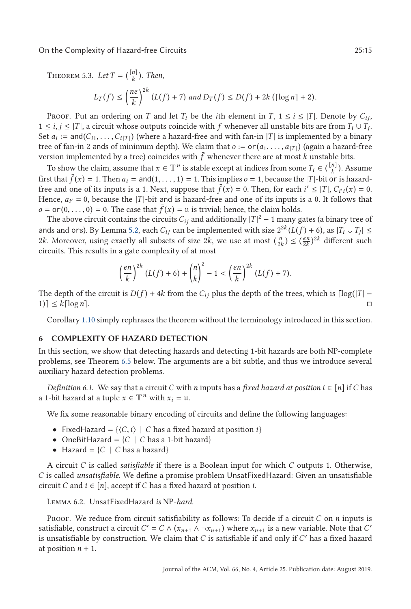**THEOREM 5.3.** Let  $T = \binom{[n]}{k}$ . Then,

$$
L_T(f) \leq \left(\frac{ne}{k}\right)^{2k} (L(f) + 7) \text{ and } D_T(f) \leq D(f) + 2k \left(\lceil \log n \rceil + 2\right).
$$

Proof. Put an ordering on *T* and let  $T_i$  be the *i*th element in  $T$ ,  $1 \le i \le |T|$ . Denote by  $C_{ij}$ ,  $1 \le i, j \le |T|$ , a circuit whose outputs coincide with  $\bar{f}$  whenever all unstable bits are from  $T_i \cup T_j$ . Set  $a_i := \text{and}(C_{i1}, \ldots, C_{i|T|})$  (where a hazard-free and with fan-in |*T*| is implemented by a binary tree of fan-in 2 ands of minimum depth). We claim that  $o := \text{or}(a_1, \ldots, a_{|T|})$  (again a hazard-free version implemented by a tree) coincides with  $\bar{f}$  whenever there are at most *k* unstable bits.

To show the claim, assume that  $x \in \mathbb{T}^n$  is stable except at indices from some  $T_i \in \binom{[n]}{k}$ . Assume first that  $\bar{f}(x) = 1$ . Then  $a_i =$  and $(1, \ldots, 1) = 1$ . This implies  $o = 1$ , because the  $|T|$ -bit or is hazardfree and one of its inputs is a 1. Next, suppose that  $\bar{f}(x) = 0$ . Then, for each  $i' \leq |T|$ ,  $C_{i'i}(x) = 0$ . Hence,  $a_{i'} = 0$ , because the |*T*|-bit and is hazard-free and one of its inputs is a 0. It follows that  $o = or(0, \ldots, 0) = 0$ . The case that  $\bar{f}(x) = u$  is trivial; hence, the claim holds.

The above circuit contains the circuits  $C_{ij}$  and additionally  $|T|^2 - 1$  many gates (a binary tree of ands and ors). By Lemma [5.2,](#page-13-0) each  $C_{ij}$  can be implemented with size  $2^{2k}(L(f) + 6)$ , as  $|T_i \cup T_j| \le$ 2*k*. Moreover, using exactly all subsets of size 2*k*, we use at most  $\binom{n}{2k} \leq \left(\frac{en}{2k}\right)^{2k}$  different such circuits. This results in a gate complexity of at most

$$
\left(\frac{en}{k}\right)^{2k} (L(f) + 6) + {n \choose k}^2 - 1 < \left(\frac{en}{k}\right)^{2k} (L(f) + 7).
$$

The depth of the circuit is  $D(f) + 4k$  from the  $C_{ij}$  plus the depth of the trees, which is  $\lceil \log(|T| - 1) \rceil$  $1)$ ]  $\leq k \lceil \log n \rceil$ . -

Corollary [1.10](#page-4-0) simply rephrases the theorem without the terminology introduced in this section.

# **6 COMPLEXITY OF HAZARD DETECTION**

In this section, we show that detecting hazards and detecting 1-bit hazards are both NP-complete problems, see Theorem [6.5](#page-15-0) below. The arguments are a bit subtle, and thus we introduce several auxiliary hazard detection problems.

*Definition 6.1.* We say that a circuit *C* with *n* inputs has a *fixed hazard at position*  $i \in [n]$  if *C* has a 1-bit hazard at a tuple  $x \in \mathbb{T}^n$  with  $x_i = \mathfrak{u}$ .

We fix some reasonable binary encoding of circuits and define the following languages:

- FixedHazard =  $\{(C, i) | C$  has a fixed hazard at position *i*}
- OneBitHazard =  $\{C \mid C \text{ has a 1-bit hazard}\}\$
- Hazard =  $\{C \mid C \text{ has a hazard}\}\$

A circuit *C* is called *satisfiable* if there is a Boolean input for which *C* outputs 1. Otherwise, *C* is called *unsatisfiable*. We define a promise problem UnsatFixedHazard: Given an unsatisfiable circuit *C* and  $i \in [n]$ , accept if *C* has a fixed hazard at position *i*.

Lemma 6.2. UnsatFixedHazard *is* NP*-hard.*

Proof. We reduce from circuit satisfiability as follows: To decide if a circuit *C* on *n* inputs is satisfiable, construct a circuit  $C' = C \wedge (x_{n+1} \wedge \neg x_{n+1})$  where  $x_{n+1}$  is a new variable. Note that  $C'$ is unsatisfiable by construction. We claim that *C* is satisfiable if and only if *C* has a fixed hazard at position  $n + 1$ .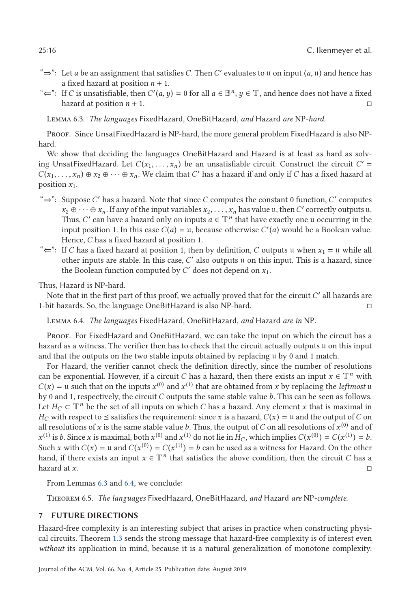- <span id="page-15-0"></span>" $\Rightarrow$ ": Let *a* be an assignment that satisfies *C*. Then *C'* evaluates to u on input (*a*, u) and hence has a fixed hazard at position *n* + 1.
- "<sup>∈</sup>": If *C* is unsatisfiable, then *C'*(*a*, *y*) = 0 for all *a* ∈  $\mathbb{B}^n$ , *y* ∈  $\mathbb{T}$ , and hence does not have a fixed haventum n + 1 hazard at position  $n + 1$ .

Lemma 6.3. *The languages* FixedHazard*,* OneBitHazard*, and* Hazard *are* NP*-hard.*

PROOF. Since UnsatFixedHazard is NP-hard, the more general problem FixedHazard is also NPhard.

We show that deciding the languages OneBitHazard and Hazard is at least as hard as solving UnsatFixedHazard. Let  $C(x_1, \ldots, x_n)$  be an unsatisfiable circuit. Construct the circuit  $C' =$  $C(x_1, \ldots, x_n) \oplus x_2 \oplus \cdots \oplus x_n$ . We claim that *C*' has a hazard if and only if *C* has a fixed hazard at position  $x_1$ .

- "⇒": Suppose *C* has a hazard. Note that since *C* computes the constant 0 function, *C* computes  $x_2 \oplus \cdots \oplus x_n$ . If any of the input variables  $x_2, \ldots, x_n$  has value u, then *C*' correctly outputs u. Thus,  $C'$  can have a hazard only on inputs  $a \in \mathbb{T}^n$  that have exactly one u occurring in the input position 1. In this case  $C(a) = u$ , because otherwise  $C'(a)$  would be a Boolean value. Hence, *C* has a fixed hazard at position 1.
- " $\Leftarrow$ ": If *C* has a fixed hazard at position 1, then by definition, *C* outputs u when  $x_1 = u$  while all other inputs are stable. In this case, C' also outputs u on this input. This is a hazard, since the Boolean function computed by  $C'$  does not depend on  $x_1$ .

Thus, Hazard is NP-hard.

Note that in the first part of this proof, we actually proved that for the circuit *C'* all hazards are 1-bit hazards. So, the language OneBitHazard is also NP-hard. -

Lemma 6.4. *The languages* FixedHazard*,* OneBitHazard*, and* Hazard *are in* NP*.*

PROOF. For FixedHazard and OneBitHazard, we can take the input on which the circuit has a hazard as a witness. The verifier then has to check that the circuit actually outputs u on this input and that the outputs on the two stable inputs obtained by replacing u by 0 and 1 match.

For Hazard, the verifier cannot check the definition directly, since the number of resolutions can be exponential. However, if a circuit *C* has a hazard, then there exists an input  $x \in \mathbb{T}^n$  with  $C(x) = u$  such that on the inputs  $x^{(0)}$  and  $x^{(1)}$  that are obtained from *x* by replacing the *leftmost* u by 0 and 1, respectively, the circuit *C* outputs the same stable value *b*. This can be seen as follows. Let  $H_C \subset \mathbb{T}^n$  be the set of all inputs on which *C* has a hazard. Any element *x* that is maximal in  $H_C$  with respect to  $\leq$  satisfies the requirement: since *x* is a hazard,  $C(x) = u$  and the output of *C* on all resolutions of *x* is the same stable value *b*. Thus, the output of *C* on all resolutions of  $x^{(0)}$  and of  $x^{(1)}$  is *b*. Since *x* is maximal, both  $x^{(0)}$  and  $x^{(1)}$  do not lie in  $H_C$ , which implies  $C(x^{(0)}) = C(x^{(1)}) = b$ . Such *x* with  $C(x) = u$  and  $C(x^{(0)}) = C(x^{(1)}) = b$  can be used as a witness for Hazard. On the other hand, if there exists an input  $x \in \mathbb{T}^n$  that satisfies the above condition, then the circuit *C* has a hazard at  $x$ .  $\Box$  $\Box$ 

From Lemmas 6.3 and 6.4, we conclude:

Theorem 6.5. *The languages* FixedHazard*,* OneBitHazard*, and* Hazard *are* NP*-complete.*

#### **7 FUTURE DIRECTIONS**

Hazard-free complexity is an interesting subject that arises in practice when constructing physical circuits. Theorem [1.3](#page-2-0) sends the strong message that hazard-free complexity is of interest even *without* its application in mind, because it is a natural generalization of monotone complexity.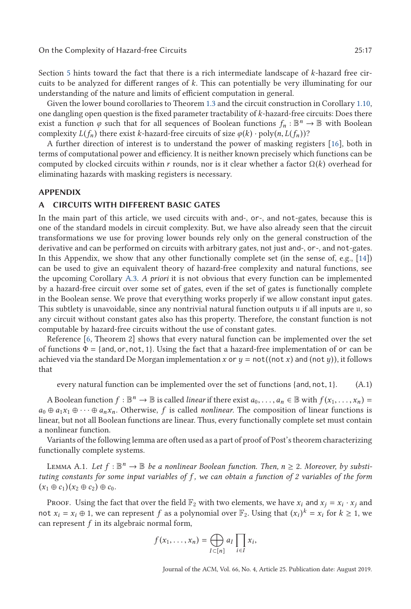<span id="page-16-0"></span>Section [5](#page-12-0) hints toward the fact that there is a rich intermediate landscape of *k*-hazard free circuits to be analyzed for different ranges of *k*. This can potentially be very illuminating for our understanding of the nature and limits of efficient computation in general.

Given the lower bound corollaries to Theorem [1.3](#page-2-0) and the circuit construction in Corollary [1.10,](#page-4-0) one dangling open question is the fixed parameter tractability of *k*-hazard-free circuits: Does there exist a function  $\varphi$  such that for all sequences of Boolean functions  $f_n : \mathbb{B}^n \to \mathbb{B}$  with Boolean complexity  $L(f_n)$  there exist *k*-hazard-free circuits of size  $\varphi(k) \cdot \text{poly}(n, L(f_n))$ ?

A further direction of interest is to understand the power of masking registers [\[16\]](#page-18-0), both in terms of computational power and efficiency. It is neither known precisely which functions can be computed by clocked circuits within *r* rounds, nor is it clear whether a factor Ω(*k*) overhead for eliminating hazards with masking registers is necessary.

## **APPENDIX**

## **A CIRCUITS WITH DIFFERENT BASIC GATES**

In the main part of this article, we used circuits with and-, or-, and not-gates, because this is one of the standard models in circuit complexity. But, we have also already seen that the circuit transformations we use for proving lower bounds rely only on the general construction of the derivative and can be performed on circuits with arbitrary gates, not just and-, or-, and not-gates. In this Appendix, we show that any other functionally complete set (in the sense of, e.g., [\[14\]](#page-18-0)) can be used to give an equivalent theory of hazard-free complexity and natural functions, see the upcoming Corollary [A.3.](#page-17-0) *A priori* it is not obvious that every function can be implemented by a hazard-free circuit over some set of gates, even if the set of gates is functionally complete in the Boolean sense. We prove that everything works properly if we allow constant input gates. This subtlety is unavoidable, since any nontrivial natural function outputs u if all inputs are u, so any circuit without constant gates also has this property. Therefore, the constant function is not computable by hazard-free circuits without the use of constant gates.

Reference [\[6,](#page-17-0) Theorem 2] shows that every natural function can be implemented over the set of functions  $\Phi = \{\text{and}, \text{or}, \text{not}, 1\}$ . Using the fact that a hazard-free implementation of or can be achieved via the standard De Morgan implementation *x* or  $y = \text{not}((\text{not } x)$  and  $(\text{not } y))$ , it follows that

every natural function can be implemented over the set of functions {and, not, <sup>1</sup>}. (A.1)

A Boolean function  $f : \mathbb{B}^n \to \mathbb{B}$  is called *linear* if there exist  $a_0, \ldots, a_n \in \mathbb{B}$  with  $f(x_1, \ldots, x_n) =$  $a_0 \oplus a_1x_1 \oplus \cdots \oplus a_nx_n$ . Otherwise, f is called *nonlinear*. The composition of linear functions is linear, but not all Boolean functions are linear. Thus, every functionally complete set must contain a nonlinear function.

Variants of the following lemma are often used as a part of proof of Post's theorem characterizing functionally complete systems.

LEMMA A.1. Let  $f: \mathbb{B}^n \to \mathbb{B}$  be a nonlinear Boolean function. Then,  $n \geq 2$ . Moreover, by substi*tuting constants for some input variables of f , we can obtain a function of 2 variables of the form*  $(x_1 \oplus c_1)(x_2 \oplus c_2) \oplus c_0.$ 

Proof. Using the fact that over the field  $\mathbb{F}_2$  with two elements, we have  $x_i$  and  $x_j = x_i \cdot x_j$  and not  $x_i = x_i \oplus 1$ , we can represent  $f$  as a polynomial over  $\mathbb{F}_2$ . Using that  $(x_i)^k = x_i$  for  $k \ge 1$ , we can represent *f* in its algebraic normal form,

$$
f(x_1,\ldots,x_n)=\bigoplus_{I\subset[n]}a_I\prod_{i\in I}x_i,
$$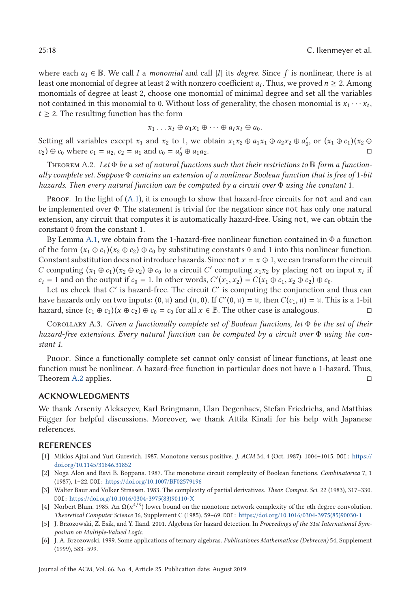<span id="page-17-0"></span>where each  $a_I \in \mathbb{B}$ . We call *I* a *monomial* and call *II* its *degree*. Since *f* is nonlinear, there is at least one monomial of degree at least 2 with nonzero coefficient  $a<sub>I</sub>$ . Thus, we proved  $n \ge 2$ . Among monomials of degree at least 2, choose one monomial of minimal degree and set all the variables not contained in this monomial to 0. Without loss of generality, the chosen monomial is  $x_1 \cdots x_t$ ,  $t \geq 2$ . The resulting function has the form

$$
x_1 \ldots x_t \oplus a_1 x_1 \oplus \cdots \oplus a_t x_t \oplus a_0.
$$

Setting all variables except  $x_1$  and  $x_2$  to 1, we obtain  $x_1x_2 \oplus a_1x_1 \oplus a_2x_2 \oplus a'_0$ , or  $(x_1 \oplus c_1)(x_2 \oplus a'_1)$  $c_2$ )  $\oplus$  *c*<sub>0</sub> where  $c_1 = a_2$ ,  $c_2 = a_1$  and  $c_0 = a'_0 \oplus a_1 a_2$ .

Theorem A.2. *Let* Φ *be a set of natural functions such that their restrictions to* B *form a functionally complete set. Suppose* Φ *contains an extension of a nonlinear Boolean function that is free of* 1*-bit hazards. Then every natural function can be computed by a circuit over* Φ *using the constant* 1*.*

PROOF. In the light of  $(A.1)$ , it is enough to show that hazard-free circuits for not and and can be implemented over Φ. The statement is trivial for the negation: since not has only one natural extension, any circuit that computes it is automatically hazard-free. Using not, we can obtain the constant 0 from the constant 1.

By Lemma [A.1,](#page-16-0) we obtain from the 1-hazard-free nonlinear function contained in  $\Phi$  a function of the form  $(x_1 \oplus c_1)(x_2 \oplus c_2) \oplus c_0$  by substituting constants 0 and 1 into this nonlinear function. Constant substitution does not introduce hazards. Since not  $x = x \oplus 1$ , we can transform the circuit *C* computing  $(x_1 \oplus c_1)(x_2 \oplus c_2) \oplus c_0$  to a circuit *C*' computing  $x_1x_2$  by placing not on input  $x_i$  if  $c_i = 1$  and on the output if  $c_0 = 1$ . In other words,  $C'(x_1, x_2) = C(x_1 \oplus c_1, x_2 \oplus c_2) \oplus c_0$ .<br>Let us check that  $C'$  is hazard-free. The circuit  $C'$  is computing the conjunction at

Let us check that  $C'$  is hazard-free. The circuit  $C'$  is computing the conjunction and thus can have hazards only on two inputs:  $(0, u)$  and  $(u, 0)$ . If  $C'(0, u) = u$ , then  $C(c_1, u) = u$ . This is a 1-bit hazard since  $(c, \oplus c_1)(x \oplus c_2) \oplus c_2 = c_2$  for all  $x \in \mathbb{R}$ . The other case is analogous hazard, since  $(c_1 \oplus c_1)(x \oplus c_2) \oplus c_0 = c_0$  for all  $x \in \mathbb{B}$ . The other case is analogous.  $\Box$ 

Corollary A.3. *Given a functionally complete set of Boolean functions, let* Φ *be the set of their hazard-free extensions. Every natural function can be computed by a circuit over* Φ *using the constant 1.*

PROOF. Since a functionally complete set cannot only consist of linear functions, at least one function must be nonlinear. A hazard-free function in particular does not have a 1-hazard. Thus, Theorem A.2 applies.  $\square$ 

### **ACKNOWLEDGMENTS**

We thank Arseniy Alekseyev, Karl Bringmann, Ulan Degenbaev, Stefan Friedrichs, and Matthias Függer for helpful discussions. Moreover, we thank Attila Kinali for his help with Japanese references.

# **REFERENCES**

- [1] Miklos Ajtai and Yuri Gurevich. 1987. Monotone versus positive. *J. ACM* 34, 4 (Oct. 1987), 1004–1015. DOI: [https://](https://doi.org/10.1145/31846.31852) [doi.org/10.1145/31846.31852](https://doi.org/10.1145/31846.31852)
- [2] Noga Alon and Ravi B. Boppana. 1987. The monotone circuit complexity of Boolean functions. *Combinatorica* 7, 1 (1987), 1–22. DOI: <https://doi.org/10.1007/BF02579196>
- [3] Walter Baur and Volker Strassen. 1983. The complexity of partial derivatives. *Theor. Comput. Sci.* 22 (1983), 317–330. DOI: [https://doi.org/10.1016/0304-3975\(83\)90110-X](https://doi.org/10.1016/0304-3975(83)90110-X)
- [4] Norbert Blum. 1985. An Ω(*n*4/3) lower bound on the monotone network complexity of the *n*th degree convolution. *Theoretical Computer Science* 36, Supplement C (1985), 59–69. DOI: [https://doi.org/10.1016/0304-3975\(85\)90030-1](https://doi.org/10.1016/0304-3975(85)90030-1)
- [5] J. Brzozowski, Z. Esik, and Y. Iland. 2001. Algebras for hazard detection. In *Proceedings of the 31st International Symposium on Multiple-Valued Logic*.
- [6] J. A. Brzozowski. 1999. Some applications of ternary algebras. *Publicationes Mathematicae (Debrecen)* 54, Supplement (1999), 583–599.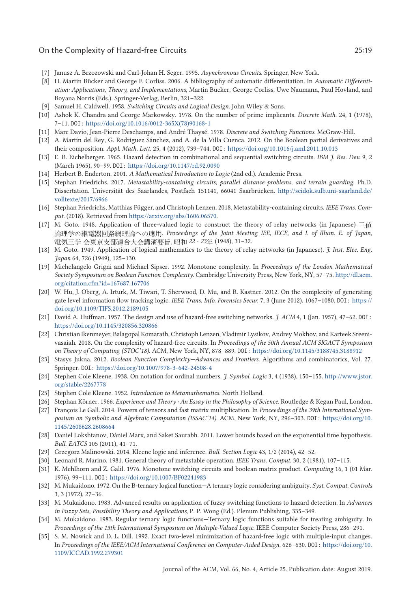- <span id="page-18-0"></span>[7] Janusz A. Brzozowski and Carl-Johan H. Seger. 1995. *Asynchronous Circuits*. Springer, New York.
- [8] H. Martin Bücker and George F. Corliss. 2006. A bibliography of automatic differentiation. In *Automatic Differentiation: Applications, Theory, and Implementations*, Martin Bücker, George Corliss, Uwe Naumann, Paul Hovland, and Boyana Norris (Eds.). Springer-Verlag, Berlin, 321–322.
- [9] Samuel H. Caldwell. 1958. *Switching Circuits and Logical Design*. John Wiley & Sons.
- [10] Ashok K. Chandra and George Markowsky. 1978. On the number of prime implicants. *Discrete Math.* 24, 1 (1978), 7–11. DOI: [https://doi.org/10.1016/0012-365X\(78\)90168-1](https://doi.org/10.1016/0012-365X(78)90168-1)
- [11] Marc Davio, Jean-Pierre Deschamps, and André Thaysé. 1978. *Discrete and Switching Functions*. McGraw-Hill.
- [12] A. Martín del Rey, G. Rodríguez Sánchez, and A. de la Villa Cuenca. 2012. On the Boolean partial derivatives and their composition. *Appl. Math. Lett.* 25, 4 (2012), 739–744. DOI: <https://doi.org/10.1016/j.aml.2011.10.013>
- [13] E. B. Eichelberger. 1965. Hazard detection in combinational and sequential switching circuits. *IBM J. Res. Dev.* 9, 2 (March 1965), 90–99. DOI: <https://doi.org/10.1147/rd.92.0090>
- [14] Herbert B. Enderton. 2001. *A Mathematical Introduction to Logic* (2nd ed.). Academic Press.
- [15] Stephan Friedrichs. 2017. *Metastability-containing circuits, parallel distance problems, and terrain guarding*. Ph.D. Dissertation. Universität des Saarlandes, Postfach 151141, 66041 Saarbrücken. [http://scidok.sulb.uni-saarland.de/](http://scidok.sulb.uni-saarland.de/volltexte/2017/6966) [volltexte/2017/6966](http://scidok.sulb.uni-saarland.de/volltexte/2017/6966)
- [16] Stephan Friedrichs, Matthias Függer, and Christoph Lenzen. 2018. Metastability-containing circuits. *IEEE Trans. Comput.* (2018). Retrieved from [https://arxiv.org/abs/1606.06570.](https://arxiv.org/abs/1606.06570)
- [17] M. Goto. 1948. Application of three-valued logic to construct the theory of relay networks (in Japanese) 三值 . *Proceedings of the Joint Meeting IEE, IECE, and I. of Illum. E. of Japan,* 電気三学 会東京支部連合大会講演要旨. 昭和 22 · 23年 (1948), 31-32.
- [18] M. Goto. 1949. Application of logical mathematics to the theory of relay networks (in Japanese). *J. Inst. Elec. Eng. Japan* 64, 726 (1949), 125–130.
- [19] Michelangelo Grigni and Michael Sipser. 1992. Monotone complexity. In *Proceedings of the London Mathematical Society Symposium on Boolean Function Complexity*. Cambridge University Press, New York, NY, 57–75. [http://dl.acm.](http://dl.acm.org/citation.cfm?id$=$167687.167706) [org/citation.cfm?id=167687.167706](http://dl.acm.org/citation.cfm?id$=$167687.167706)
- [20] W. Hu, J. Oberg, A. Irturk, M. Tiwari, T. Sherwood, D. Mu, and R. Kastner. 2012. On the complexity of generating gate level information flow tracking logic. *IEEE Trans. Info. Forensics Secur.* 7, 3 (June 2012), 1067–1080. DOI: [https://](https://doi.org/10.1109/TIFS.2012.2189105) [doi.org/10.1109/TIFS.2012.2189105](https://doi.org/10.1109/TIFS.2012.2189105)
- [21] David A. Huffman. 1957. The design and use of hazard-free switching networks. *J. ACM* 4, 1 (Jan. 1957), 47–62. DOI: <https://doi.org/10.1145/320856.320866>
- [22] Christian Ikenmeyer, Balagopal Komarath, Christoph Lenzen, Vladimir Lysikov, Andrey Mokhov, and Karteek Sreenivasaiah. 2018. On the complexity of hazard-free circuits. In *Proceedings of the 50th Annual ACM SIGACT Symposium on Theory of Computing (STOC'18)*. ACM, New York, NY, 878–889. DOI: <https://doi.org/10.1145/3188745.3188912>
- [23] Stasys Jukna. 2012. *Boolean Function Complexity—Advances and Frontiers*. Algorithms and combinatorics, Vol. 27. Springer. DOI: <https://doi.org/10.1007/978-3-642-24508-4>
- [24] Stephen Cole Kleene. 1938. On notation for ordinal numbers. *J. Symbol. Logic* 3, 4 (1938), 150–155. [http://www.jstor.](http://www.jstor.org/stable/2267778) [org/stable/2267778](http://www.jstor.org/stable/2267778)
- [25] Stephen Cole Kleene. 1952. *Introduction to Metamathematics*. North Holland.
- [26] Stephan Körner. 1966. *Experience and Theory : An Essay in the Philosophy of Science*. Routledge & Kegan Paul, London.
- [27] François Le Gall. 2014. Powers of tensors and fast matrix multiplication. In *Proceedings of the 39th International Symposium on Symbolic and Algebraic Computation (ISSAC'14)*. ACM, New York, NY, 296–303. DOI: [https://doi.org/10.](https://doi.org/10.1145/2608628.2608664) [1145/2608628.2608664](https://doi.org/10.1145/2608628.2608664)
- [28] Daniel Lokshtanov, Dániel Marx, and Saket Saurabh. 2011. Lower bounds based on the exponential time hypothesis. *Bull. EATCS* 105 (2011), 41–71.
- [29] Grzegorz Malinowski. 2014. Kleene logic and inference. *Bull. Section Logic* 43, 1/2 (2014), 42–52.
- [30] Leonard R. Marino. 1981. General theory of metastable operation. *IEEE Trans. Comput.* 30, 2 (1981), 107–115.
- [31] K. Mehlhorn and Z. Galil. 1976. Monotone switching circuits and boolean matrix product. *Computing* 16, 1 (01 Mar. 1976), 99–111. DOI: <https://doi.org/10.1007/BF02241983>
- [32] M. Mukaidono. 1972. On the B-ternary logical function—A ternary logic considering ambiguity. *Syst. Comput. Controls* 3, 3 (1972), 27–36.
- [33] M. Mukaidono. 1983. Advanced results on application of fuzzy switching functions to hazard detection. In *Advances in Fuzzy Sets, Possibility Theory and Applications*, P. P. Wong (Ed.). Plenum Publishing, 335–349.
- [34] M. Mukaidono. 1983. Regular ternary logic functions—Ternary logic functions suitable for treating ambiguity. In *Proceedings of the 13th International Symposium on Multiple-Valued Logic*. IEEE Computer Society Press, 286–291.
- [35] S. M. Nowick and D. L. Dill. 1992. Exact two-level minimization of hazard-free logic with multiple-input changes. In *Proceedings of the IEEE/ACM International Conference on Computer-Aided Design*. 626–630. DOI: [https://doi.org/10.](https://doi.org/10.1109/ICCAD.1992.279301) [1109/ICCAD.1992.279301](https://doi.org/10.1109/ICCAD.1992.279301)